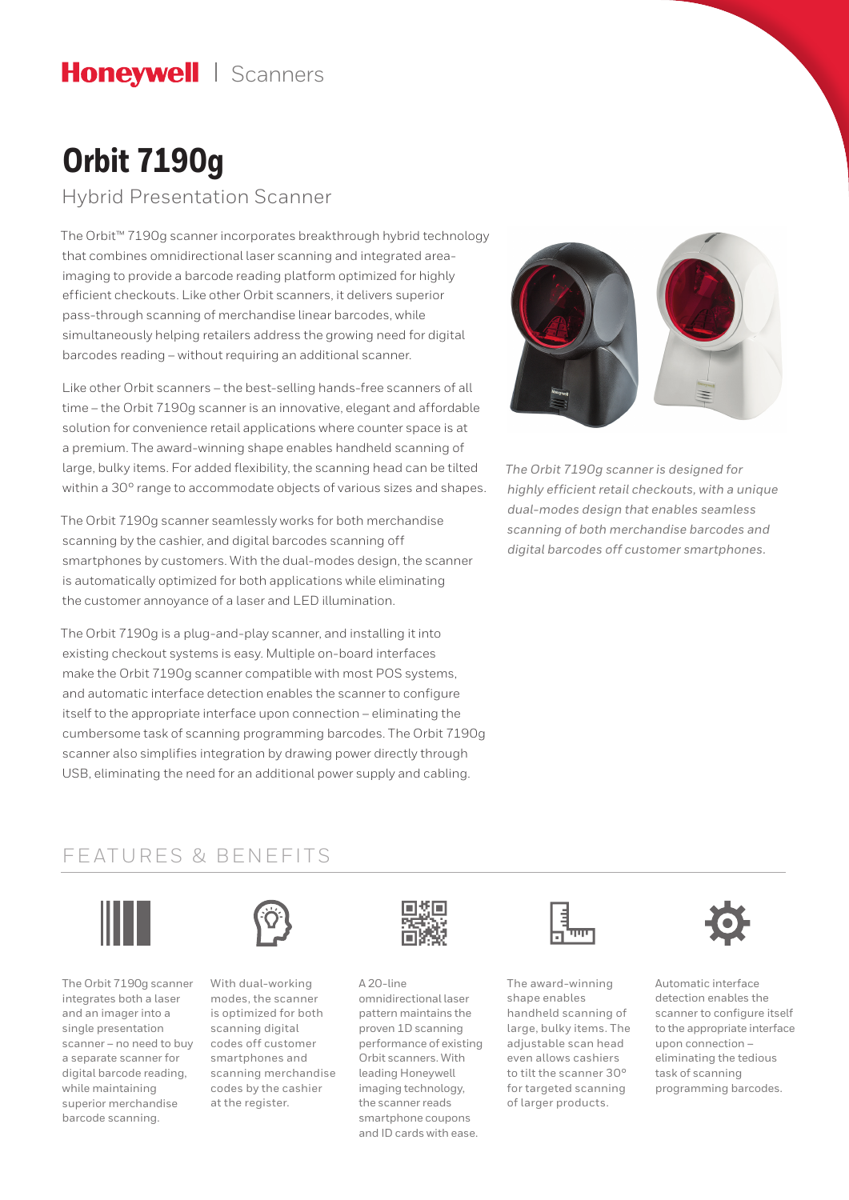## Honeywell | Scanners

# **Orbit 7190g**

Hybrid Presentation Scanner

The Orbit™ 7190g scanner incorporates breakthrough hybrid technology that combines omnidirectional laser scanning and integrated areaimaging to provide a barcode reading platform optimized for highly efficient checkouts. Like other Orbit scanners, it delivers superior pass-through scanning of merchandise linear barcodes, while simultaneously helping retailers address the growing need for digital barcodes reading – without requiring an additional scanner.

Like other Orbit scanners – the best-selling hands-free scanners of all time – the Orbit 7190g scanner is an innovative, elegant and affordable solution for convenience retail applications where counter space is at a premium. The award-winning shape enables handheld scanning of large, bulky items. For added flexibility, the scanning head can be tilted within a 30° range to accommodate objects of various sizes and shapes.

The Orbit 7190g scanner seamlessly works for both merchandise scanning by the cashier, and digital barcodes scanning off smartphones by customers. With the dual-modes design, the scanner is automatically optimized for both applications while eliminating the customer annoyance of a laser and LED illumination.

The Orbit 7190g is a plug-and-play scanner, and installing it into existing checkout systems is easy. Multiple on-board interfaces make the Orbit 7190g scanner compatible with most POS systems, and automatic interface detection enables the scanner to configure itself to the appropriate interface upon connection – eliminating the cumbersome task of scanning programming barcodes. The Orbit 7190g scanner also simplifies integration by drawing power directly through USB, eliminating the need for an additional power supply and cabling.



*The Orbit 7190g scanner is designed for highly efficient retail checkouts, with a unique dual-modes design that enables seamless scanning of both merchandise barcodes and digital barcodes off customer smartphones.*

### FEATURES & BENEFITS



The Orbit 7190g scanner integrates both a laser and an imager into a single presentation scanner – no need to buy a separate scanner for digital barcode reading, while maintaining superior merchandise barcode scanning.



With dual-working modes, the scanner is optimized for both scanning digital codes off customer smartphones and scanning merchandise codes by the cashier at the register.



A 20-line omnidirectional laser pattern maintains the proven 1D scanning performance of existing Orbit scanners. With leading Honeywell imaging technology, the scanner reads smartphone coupons and ID cards with ease.



The award-winning shape enables handheld scanning of large, bulky items. The adjustable scan head even allows cashiers to tilt the scanner 30° for targeted scanning of larger products.



Automatic interface detection enables the scanner to configure itself to the appropriate interface upon connection –  eliminating the tedious task of scanning programming barcodes.